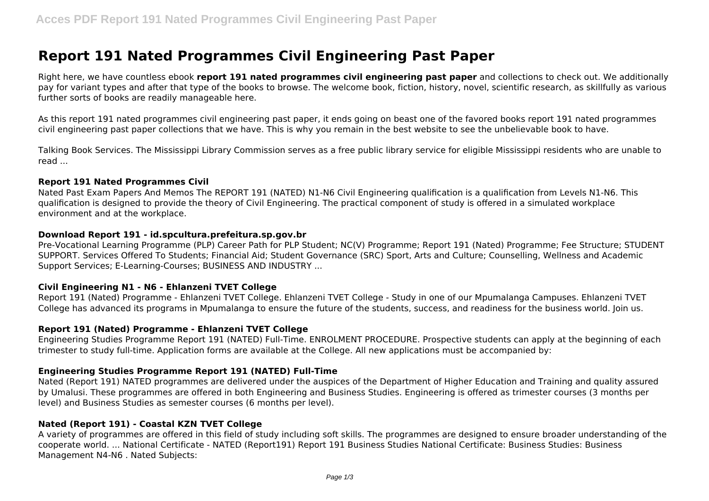# **Report 191 Nated Programmes Civil Engineering Past Paper**

Right here, we have countless ebook **report 191 nated programmes civil engineering past paper** and collections to check out. We additionally pay for variant types and after that type of the books to browse. The welcome book, fiction, history, novel, scientific research, as skillfully as various further sorts of books are readily manageable here.

As this report 191 nated programmes civil engineering past paper, it ends going on beast one of the favored books report 191 nated programmes civil engineering past paper collections that we have. This is why you remain in the best website to see the unbelievable book to have.

Talking Book Services. The Mississippi Library Commission serves as a free public library service for eligible Mississippi residents who are unable to read ...

#### **Report 191 Nated Programmes Civil**

Nated Past Exam Papers And Memos The REPORT 191 (NATED) N1-N6 Civil Engineering qualification is a qualification from Levels N1-N6. This qualification is designed to provide the theory of Civil Engineering. The practical component of study is offered in a simulated workplace environment and at the workplace.

#### **Download Report 191 - id.spcultura.prefeitura.sp.gov.br**

Pre-Vocational Learning Programme (PLP) Career Path for PLP Student; NC(V) Programme; Report 191 (Nated) Programme; Fee Structure; STUDENT SUPPORT. Services Offered To Students; Financial Aid; Student Governance (SRC) Sport, Arts and Culture; Counselling, Wellness and Academic Support Services; E-Learning-Courses; BUSINESS AND INDUSTRY ...

#### **Civil Engineering N1 - N6 - Ehlanzeni TVET College**

Report 191 (Nated) Programme - Ehlanzeni TVET College. Ehlanzeni TVET College - Study in one of our Mpumalanga Campuses. Ehlanzeni TVET College has advanced its programs in Mpumalanga to ensure the future of the students, success, and readiness for the business world. Join us.

#### **Report 191 (Nated) Programme - Ehlanzeni TVET College**

Engineering Studies Programme Report 191 (NATED) Full-Time. ENROLMENT PROCEDURE. Prospective students can apply at the beginning of each trimester to study full-time. Application forms are available at the College. All new applications must be accompanied by:

# **Engineering Studies Programme Report 191 (NATED) Full-Time**

Nated (Report 191) NATED programmes are delivered under the auspices of the Department of Higher Education and Training and quality assured by Umalusi. These programmes are offered in both Engineering and Business Studies. Engineering is offered as trimester courses (3 months per level) and Business Studies as semester courses (6 months per level).

#### **Nated (Report 191) - Coastal KZN TVET College**

A variety of programmes are offered in this field of study including soft skills. The programmes are designed to ensure broader understanding of the cooperate world. ... National Certificate - NATED (Report191) Report 191 Business Studies National Certificate: Business Studies: Business Management N4-N6 . Nated Subjects: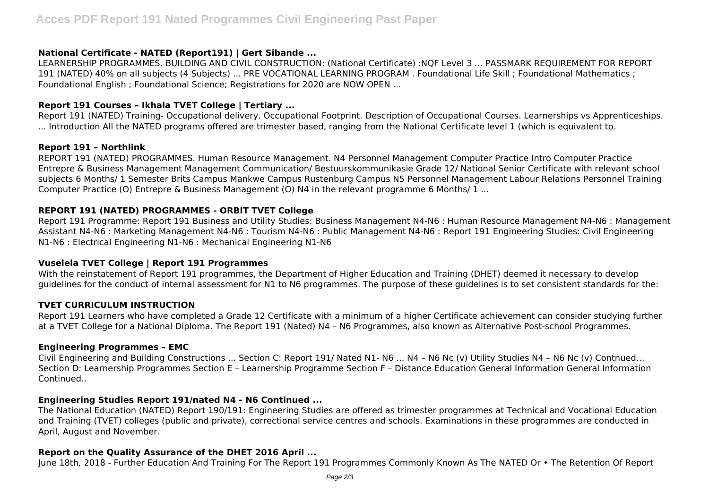# **National Certificate - NATED (Report191) | Gert Sibande ...**

LEARNERSHIP PROGRAMMES. BUILDING AND CIVIL CONSTRUCTION: (National Certificate) :NQF Level 3 ... PASSMARK REQUIREMENT FOR REPORT 191 (NATED) 40% on all subjects (4 Subjects) ... PRE VOCATIONAL LEARNING PROGRAM . Foundational Life Skill ; Foundational Mathematics ; Foundational English ; Foundational Science; Registrations for 2020 are NOW OPEN ...

# **Report 191 Courses – Ikhala TVET College | Tertiary ...**

Report 191 (NATED) Training- Occupational delivery. Occupational Footprint. Description of Occupational Courses. Learnerships vs Apprenticeships. ... Introduction All the NATED programs offered are trimester based, ranging from the National Certificate level 1 (which is equivalent to.

#### **Report 191 – Northlink**

REPORT 191 (NATED) PROGRAMMES. Human Resource Management. N4 Personnel Management Computer Practice Intro Computer Practice Entrepre & Business Management Management Communication/ Bestuurskommunikasie Grade 12/ National Senior Certificate with relevant school subjects 6 Months/ 1 Semester Brits Campus Mankwe Campus Rustenburg Campus N5 Personnel Management Labour Relations Personnel Training Computer Practice (O) Entrepre & Business Management (O) N4 in the relevant programme 6 Months/ 1 ...

### **REPORT 191 (NATED) PROGRAMMES - ORBIT TVET College**

Report 191 Programme: Report 191 Business and Utility Studies: Business Management N4-N6 : Human Resource Management N4-N6 : Management Assistant N4-N6 : Marketing Management N4-N6 : Tourism N4-N6 : Public Management N4-N6 : Report 191 Engineering Studies: Civil Engineering N1-N6 : Electrical Engineering N1-N6 : Mechanical Engineering N1-N6

#### **Vuselela TVET College | Report 191 Programmes**

With the reinstatement of Report 191 programmes, the Department of Higher Education and Training (DHET) deemed it necessary to develop guidelines for the conduct of internal assessment for N1 to N6 programmes. The purpose of these guidelines is to set consistent standards for the:

#### **TVET CURRICULUM INSTRUCTION**

Report 191 Learners who have completed a Grade 12 Certificate with a minimum of a higher Certificate achievement can consider studying further at a TVET College for a National Diploma. The Report 191 (Nated) N4 – N6 Programmes, also known as Alternative Post-school Programmes.

#### **Engineering Programmes – EMC**

Civil Engineering and Building Constructions ... Section C: Report 191/ Nated N1- N6 ... N4 – N6 Nc (v) Utility Studies N4 – N6 Nc (v) Contnued… Section D: Learnership Programmes Section E – Learnership Programme Section F – Distance Education General Information General Information **Continued.** 

#### **Engineering Studies Report 191/nated N4 - N6 Continued ...**

The National Education (NATED) Report 190/191: Engineering Studies are offered as trimester programmes at Technical and Vocational Education and Training (TVET) colleges (public and private), correctional service centres and schools. Examinations in these programmes are conducted in April, August and November.

#### **Report on the Quality Assurance of the DHET 2016 April ...**

June 18th, 2018 - Further Education And Training For The Report 191 Programmes Commonly Known As The NATED Or • The Retention Of Report